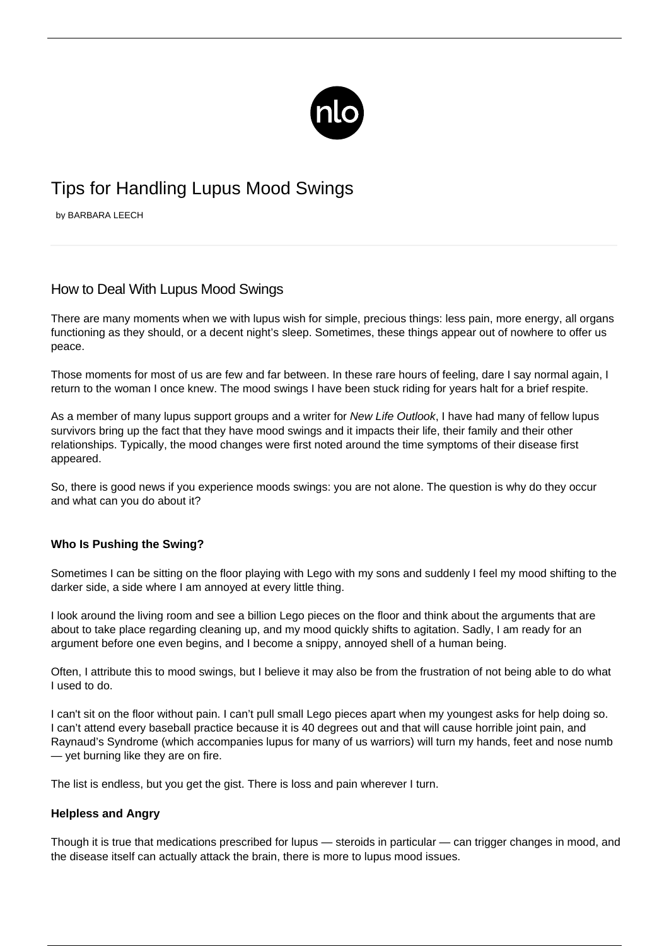

# Tips for Handling Lupus Mood Swings

by BARBARA LEECH

# How to Deal With Lupus Mood Swings

There are many moments when we with lupus wish for simple, precious things: less pain, more energy, all organs functioning as they should, or a decent night's sleep. Sometimes, these things appear out of nowhere to offer us peace.

Those moments for most of us are few and far between. In these rare hours of feeling, dare I say normal again, I return to the woman I once knew. The mood swings I have been stuck riding for years halt for a brief respite.

As a member of many lupus support groups and a writer for New Life Outlook. I have had many of fellow lupus survivors bring up the fact that they have mood swings and it impacts their life, their family and their other relationships. Typically, the mood changes were first noted around the time symptoms of their disease first appeared.

So, there is good news if you experience moods swings: you are not alone. The question is why do they occur and what can you do about it?

## **Who Is Pushing the Swing?**

Sometimes I can be sitting on the floor playing with Lego with my sons and suddenly I feel my mood shifting to the darker side, a side where I am annoyed at every little thing.

I look around the living room and see a billion Lego pieces on the floor and think about the arguments that are about to take place regarding cleaning up, and my mood quickly shifts to agitation. Sadly, I am ready for an argument before one even begins, and I become a snippy, annoyed shell of a human being.

Often, I attribute this to mood swings, but I believe it may also be from the frustration of not being able to do what I used to do.

I can't sit on the floor without pain. I can't pull small Lego pieces apart when my youngest asks for help doing so. I can't attend every baseball practice because it is 40 degrees out and that will cause [horrible joint pain](/lupus-and-joint-pain/), and Raynaud's Syndrome (which accompanies lupus for many of us warriors) will turn my hands, feet and nose numb — yet burning like they are on fire.

The list is endless, but you get the gist. There is loss and pain wherever I turn.

#### **Helpless and Angry**

Though it is true that medications prescribed for lupus — steroids in particular — can trigger changes in mood, and the disease itself can actually attack the brain, there is more to lupus mood issues.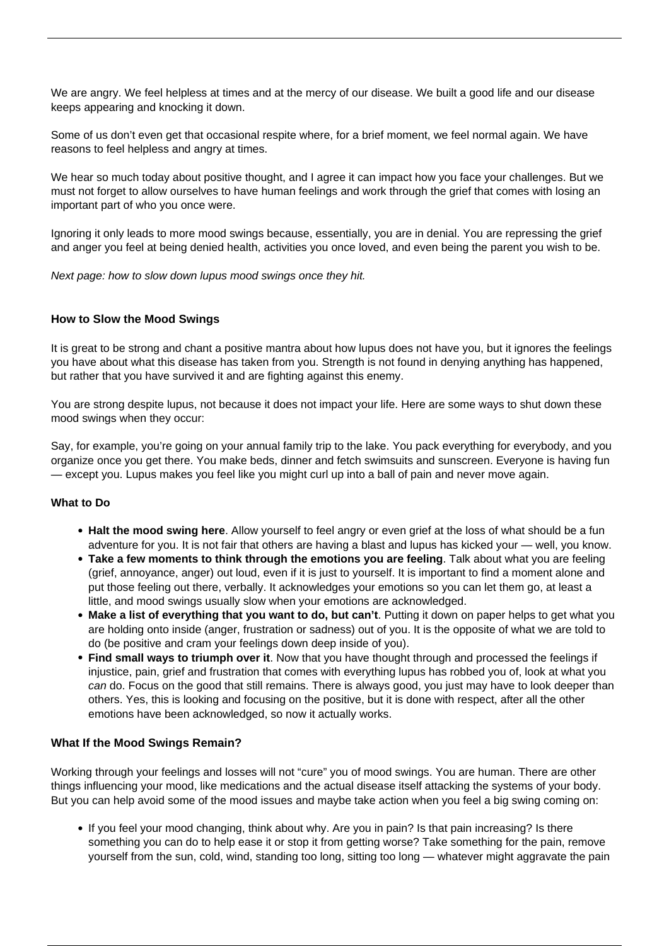We are angry. We feel helpless at times and at the mercy of our disease. We built a good life and our disease keeps appearing and knocking it down.

Some of us don't even get that occasional respite where, for a brief moment, we feel normal again. We have reasons to feel helpless and angry at times.

We hear so much today about positive thought, and I agree it can impact how you face your challenges. But we must not forget to allow ourselves to have human feelings and work through the grief that comes with losing an important part of who you once were.

Ignoring it only leads to more mood swings because, essentially, you are in denial. You are repressing the grief and anger you feel at being denied health, activities you once loved, and even being the parent you wish to be.

Next page: how to slow down lupus mood swings once they hit.

### **How to Slow the Mood Swings**

It is great to be strong and chant a positive mantra about how lupus does not have you, but it ignores the feelings you have about what this disease has taken from you. Strength is not found in denying anything has happened, but rather that you have survived it and are fighting against this enemy.

You are strong despite lupus, not because it does not impact your life. Here are some ways to shut down these mood swings when they occur:

Say, for example, you're going on your annual family trip to the lake. You pack everything for everybody, and you organize once you get there. You make beds, dinner and fetch swimsuits and sunscreen. Everyone is having fun — except you. Lupus makes you feel like you might curl up into a ball of pain and never move again.

#### **What to Do**

- **Halt the mood swing here**. Allow yourself to feel angry or even grief at the loss of what should be a fun adventure for you. It is not fair that others are having a blast and lupus has kicked your — well, you know.
- **Take a few moments to think through the emotions you are feeling**. Talk about what you are feeling (grief, annoyance, anger) out loud, even if it is just to yourself. It is important to find a moment alone and put those feeling out there, verbally. It acknowledges your emotions so you can let them go, at least a little, and mood swings usually slow when your emotions are acknowledged.
- **Make a list of everything that you want to do, but can't**. Putting it down on paper helps to get what you are [holding onto inside](/adjusting-to-lupus/) (anger, frustration or sadness) out of you. It is the opposite of what we are told to do (be positive and cram your feelings down deep inside of you).
- **Find small ways to triumph over it**. Now that you have thought through and processed the feelings if injustice, pain, grief and frustration that comes with everything lupus has robbed you of, look at what you can do. Focus on the good that still remains. There is always good, you just may have to look deeper than others. Yes, this is looking and focusing on the positive, but it is done with respect, after all the other emotions have been acknowledged, so now it actually works.

#### **What If the Mood Swings Remain?**

Working through your feelings and losses will not "cure" you of mood swings. You are human. There are other things influencing your mood, like medications and the actual disease itself attacking the systems of your body. But you can help avoid some of the mood issues and maybe take action when you feel a big swing coming on:

If you feel your mood changing, think about why. Are you in pain? Is that pain increasing? Is there something you can do to help ease it or stop it from getting worse? Take something for the pain, remove yourself from the sun, cold, wind, standing too long, sitting too long — whatever might aggravate the pain